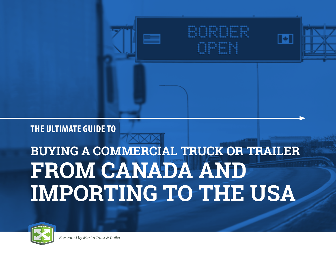

# **THE ULTIMATE GUIDE TO**

# **BUYING A COMMERCIAL TRUCK OR TRAILER FROM CANADA AND IMPORTING TO THE USA**

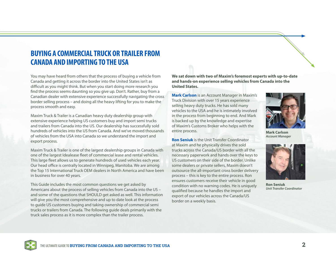# **BUYING A COMMERCIAL TRUCK OR TRAILER FROM CANADA AND IMPORTING TO THE USA**

You may have heard from others that the process of buying a vehicle from Canada and getting it across the border into the United States isn't as difficult as you might think. But when you start doing more research you find the process seems daunting so you give up. Don't. Rather, buy from a Canadian dealer with extensive experience successfully navigating the cross border selling process – and doing all the heavy lifting for you to make the process smooth and easy.

Maxim Truck & Trailer is a Canadian heavy duty dealership group with extensive experience helping US customers buy and import semi trucks and trailers from Canada into the US. Our dealership has successfully sold hundreds of vehicles into the US from Canada. And we've moved thousands of vehicles from the USA into Canada so we understand the import and export process.

Maxim Truck & Trailer is one of the largest dealership groups in Canada with one of the largest Idealease fleet of commercial lease and rental vehicles. This large fleet allows us to generate hundreds of used vehicles each year. Our head office is centrally located in Winnipeg, Manitoba. We are among the Top 15 International Truck OEM dealers in North America and have been in business for over 40 years.

This Guide includes the most common questions we get asked by Americans about the process of selling vehicles from Canada into the US – and some of the questions that SHOULD get asked as well. This information will give you the most comprehensive and up to date look at the process to guide US customers buying and taking ownership of commercial semi trucks or trailers from Canada. The following guide deals primarily with the truck sales process as it is more complex than the trailer process.

**We sat down with two of Maxim's foremost experts with up-to-date and hands-on experience selling vehicles from Canada into the United States.**

**Mark Carlson** is an Account Manager in Maxim's Truck Division with over 15 years experience selling heavy duty trucks. He has sold many vehicles to the USA and he is intimately involved in the process from beginning to end. And Mark is backed up by the knowledge and expertise of Maxim's Customs Broker who helps with the entire process.

**Ron Seniuk** is the Unit Transfer Coordinator at Maxim and he physically drives the sold trucks across the Canada/US border with all the necessary paperwork and hands over the keys to US customers on their side of the border. Unlike some dealers or private sellers, Maxim doesn't outsource the all-important cross border delivery process – this is key to the entire process. Ron ensures customers receive their vehicle in good condition with no warning codes. He is uniquely qualified because he handles the import and export of our vehicles across the Canada/US border on a weekly basis.



**Mark Carlson**  *Account Manager*



**Ron Seniuk** *Unit Transfer Coordinator* 

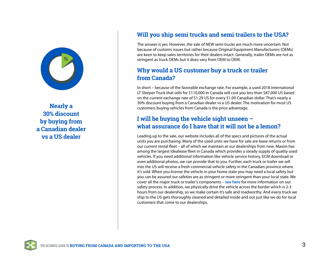

**Nearly a 30% discount by buying from a Canadian dealer vs a US dealer**

# **Will you ship semi trucks and semi trailers to the USA?**

The answer is yes. However, the sale of NEW semi trucks are much more uncertain. Not because of customs issues but rather because Original Equipment Manufacturers (OEMs) are keen to keep sales territories for their dealers intact. Generally, trailer OEMs are not as stringent as truck OEMs but it does vary from OEM to OEM.

## **Why would a US customer buy a truck or trailer from Canada?**

In short – because of the favorable exchange rate. For example, a used 2018 International LT Sleeper Truck that sells for \$110,000 in Canada will cost you less than \$87,000 US based on the current exchange rate of \$1.29 US for every \$1.00 Canadian dollar. That's nearly a 30% discount buying from a Canadian dealer vs a US dealer. The motivation for most US customers buying vehicles from Canada is the price advantage.

#### **I will be buying the vehicle sight unseen – what assurance do I have that it will not be a lemon?**

Leading up to the sale, our website includes all of the specs and pictures of the actual units you are purchasing. Many of the used units we have for sale are lease returns or from our current rental fleet – all of which we maintain at our dealerships from new. Maxim has among the largest Idealease fleet in Canada which provides a steady supply of quality used vehicles. If you need additional information like vehicle service history, ECM download or even additional photos, we can provide that to you. Further, each truck or trailer we sell into the US will receive a fresh commercial vehicle safety in the Canadian province where it's sold. When you license the vehicle in your home state you may need a local safety but you can be assured our safeties are as stringent or more stringent than your local state. We cover all the major truck or trailer's components – **[see here](https://www.maximinc.com/cvip-checklist-important-things-to-know)** for more information on our safety process. In addition, we physically drive the vehicle across the border which is 2-3 hours from our dealership, so we make certain it's safe and roadworthy. And every truck we ship to the US gets thoroughly cleaned and detailed inside and out just like we do for local customers that come to our dealerships.

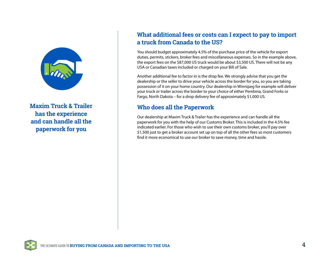

**Maxim Truck & Trailer has the experience and can handle all the paperwork for you**

# **What additional fees or costs can I expect to pay to import a truck from Canada to the US?**

You should budget approximately 4.5% of the purchase price of the vehicle for export duties, permits, stickers, broker fees and miscellaneous expenses. So in the example above, the export fees on the \$87,000 US truck would be about \$3,500 US. There will not be any USA or Canadian taxes included or charged on your Bill of Sale.

Another additional fee to factor in is the drop fee. We strongly advise that you get the dealership or the seller to drive your vehicle across the border for you, so you are taking possession of it on your home country. Our dealership in Winnipeg for example will deliver your truck or trailer across the border to your choice of either Pembina, Grand Forks or Fargo, North Dakota – for a drop delivery fee of approximately \$1,000 US.

# **Who does all the Paperwork**

Our dealership at Maxim Truck & Trailer has the experience and can handle all the paperwork for you with the help of our Customs Broker. This is included in the 4.5% fee indicated earlier. For those who wish to use their own customs broker, you'll pay over \$1,500 just to get a broker account set up on top of all the other fees so most customers find it more economical to use our broker to save money, time and hassle.

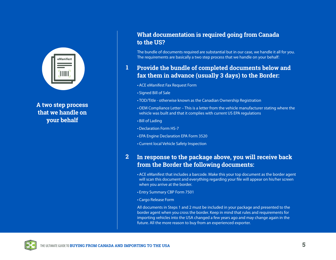

**A two step process that we handle on your behalf**

#### **What documentation is required going from Canada to the US?**

The bundle of documents required are substantial but in our case, we handle it all for you. The requirements are basically a two step process that we handle on your behalf:

#### **1 Provide the bundle of completed documents below and fax them in advance (usually 3 days) to the Border:**

- ACE eManifest Fax Request Form
- Signed Bill of Sale
- TOD/Title otherwise known as the Canadian Ownership Registration
- OEM Compliance Letter This is a letter from the vehicle manufacturer stating where the vehicle was built and that it complies with current US EPA regulations
- Bill of Lading
- Declaration Form HS-7
- EPA Engine Declaration EPA Form 3520
- Current local Vehicle Safety Inspection

#### **2 In response to the package above, you will receive back from the Border the following documents:**

- ACE eManifest that includes a barcode. Make this your top document as the border agent will scan this document and everything regarding your file will appear on his/her screen when you arrive at the border.
- Entry Summary CBP Form 7501
- Cargo Release Form

All documents in Steps 1 and 2 must be included in your package and presented to the border agent when you cross the border. Keep in mind that rules and requirements for importing vehicles into the USA changed a few years ago and may change again in the future. All the more reason to buy from an experienced exporter.

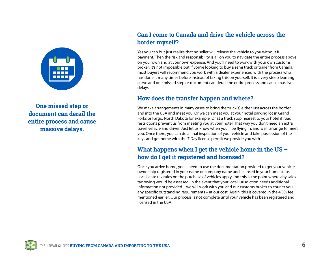

**One missed step or document can derail the entire process and cause massive delays.**

## **Can I come to Canada and drive the vehicle across the border myself?**

Yes you can but just realize that no seller will release the vehicle to you without full payment. Then the risk and responsibility is all on you to navigate the entire process above on your own and at your own expense. And you'll need to work with your own customs broker. It's not impossible but if you're looking to buy a semi truck or trailer from Canada, most buyers will recommend you work with a dealer experienced with the process who has done it many times before instead of taking this on yourself. It is a very steep learning curve and one missed step or document can derail the entire process and cause massive delays.

#### **How does the transfer happen and where?**

We make arrangements in many cases to bring the truck(s) either just across the border and into the USA and meet you. Or we can meet you at your hotel parking lot in Grand Forks or Fargo, North Dakota for example. Or at a truck stop nearest to your hotel if road restrictions prevent us from meeting you at your hotel. That way you don't need an extra travel vehicle and driver. Just let us know when you'll be flying in, and we'll arrange to meet you. Once there, you can do a final inspection of your vehicle and take possession of the keys and get home with the 7 Day license permit we provide you with.

# **What happens when I get the vehicle home in the US – how do I get it registered and licensed?**

Once you arrive home, you'll need to use the documentation provided to get your vehicle ownership registered in your name or company name and licensed in your home state. Local state tax rules on the purchase of vehicles apply and this is the point where any sales tax owing would be assessed. In the event that your local jurisdiction needs additional information not provided – we will work with you and our customs broker to courier you any specific outstanding requirements – at our cost. Again, this is covered in the 4.5% fee mentioned earlier. Our process is not complete until your vehicle has been registered and licensed in the USA.

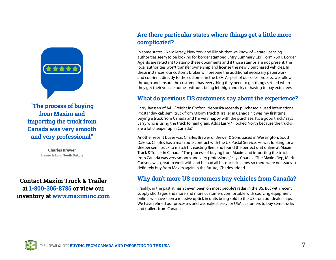

**"The process of buying from Maxim and importing the truck from Canada was very smooth and very professional"**

> **Charles Brewer Brewer & Sons, South Dakota**

**1 Contact Maxim Truck & Trailer at 1-800-305-8785 or view our inventory at [www.maximinc.com](https://www.maximinc.com/)**

# **Are there particular states where things get a little more complicated?**

In some states - New Jersey, New York and Illinois that we know of – state licensing authorities seem to be looking for border stamped Entry Summary CBP Form 7501. Border Agents are reluctant to stamp these documents and if those stamps are not present, the local authorities won't transfer ownership and license the newly purchased vehicles. In these instances, our customs broker will prepare the additional necessary paperwork and courier it directly to the customer in the USA. As part of our sales process, we follow through and ensure the customer has everything they need to get things settled when they get their vehicle home - without being left high and dry or having to pay extra fees.

# **What do previous US customers say about the experience?**

Larry Janssen of A&L Freight in Crofton, Nebraska recently purchased a used International Prostar day cab semi truck from Maxim Truck & Trailer in Canada. "It was my first time buying a truck from Canada and I'm very happy with the purchase, It's a good truck," says Larry who is using the truck to haul grain. Adds Larry, "I looked North because the trucks are a lot cheaper up in Canada."

Another recent buyer was Charles Brewer of Brewer & Sons based in Wessington, South Dakota. Charles has a mail route contract with the US Postal Service. He was looking for a sleeper semi truck to match his existing fleet and found the perfect unit online at Maxim Truck & Trailer in Canada. "The process of buying from Maxim and importing the truck from Canada was very smooth and very professional," says Charles. "The Maxim Rep, Mark Carlson, was great to work with and he had all his ducks in a row so there were no issues. I'd definitely buy from Maxim again in the future," Charles added.

# **Why don't more US customers buy vehicles from Canada?**

Frankly, in the past, it hasn't even been on most people's radar in the US. But with recent supply shortages and more and more customers comfortable with sourcing equipment online, we have seen a massive uptick in units being sold to the US from our dealerships. We have refined our processes and we make it easy for USA customers to buy semi trucks and trailers from Canada.